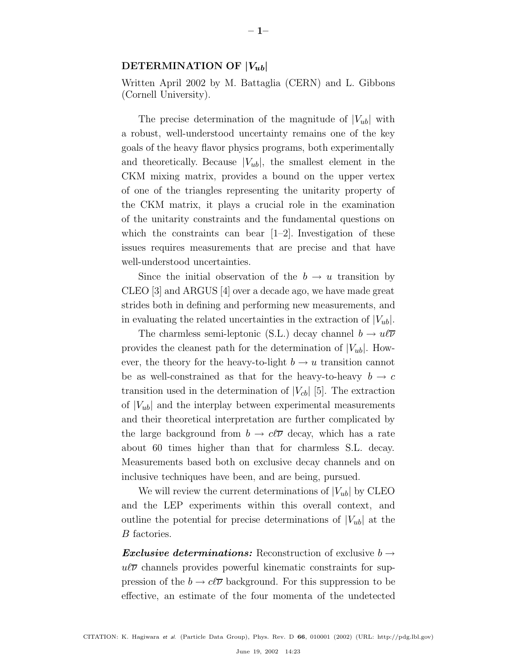## **DETERMINATION OF** *|V*ub*|*

Written April 2002 by M. Battaglia (CERN) and L. Gibbons (Cornell University).

The precise determination of the magnitude of  $|V_{ub}|$  with a robust, well-understood uncertainty remains one of the key goals of the heavy flavor physics programs, both experimentally and theoretically. Because  $|V_{ub}|$ , the smallest element in the CKM mixing matrix, provides a bound on the upper vertex of one of the triangles representing the unitarity property of the CKM matrix, it plays a crucial role in the examination of the unitarity constraints and the fundamental questions on which the constraints can bear  $[1-2]$ . Investigation of these issues requires measurements that are precise and that have well-understood uncertainties.

Since the initial observation of the  $b \to u$  transition by CLEO [3] and ARGUS [4] over a decade ago, we have made great strides both in defining and performing new measurements, and in evaluating the related uncertainties in the extraction of  $|V_{ub}|$ .

The charmless semi-leptonic (S.L.) decay channel  $b \to u \ell \overline{\nu}$ provides the cleanest path for the determination of  $|V_{ub}|$ . However, the theory for the heavy-to-light  $b \to u$  transition cannot be as well-constrained as that for the heavy-to-heavy  $b \to c$ transition used in the determination of  $|V_{cb}|$  [5]. The extraction of  $|V_{ub}|$  and the interplay between experimental measurements and their theoretical interpretation are further complicated by the large background from  $b \to c\ell\overline{\nu}$  decay, which has a rate about 60 times higher than that for charmless S.L. decay. Measurements based both on exclusive decay channels and on inclusive techniques have been, and are being, pursued.

We will review the current determinations of  $|V_{ub}|$  by CLEO and the LEP experiments within this overall context, and outline the potential for precise determinations of  $|V_{ub}|$  at the B factories.

*Exclusive determinations:* Reconstruction of exclusive  $b \rightarrow$  $u\bar{v}$  channels provides powerful kinematic constraints for suppression of the  $b \to c\ell\overline{\nu}$  background. For this suppression to be effective, an estimate of the four momenta of the undetected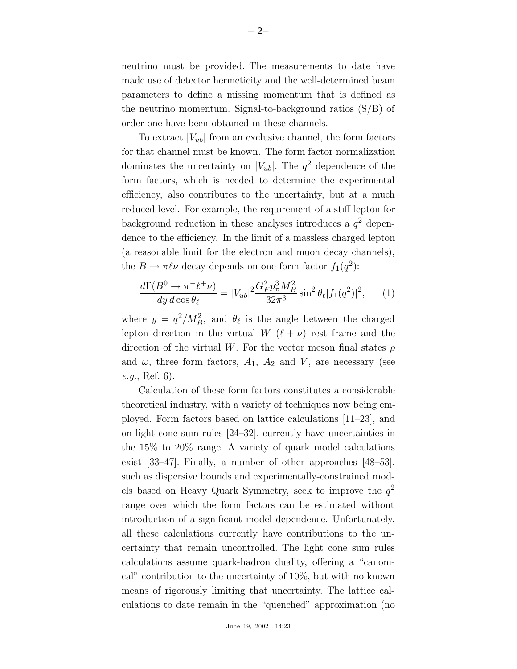neutrino must be provided. The measurements to date have made use of detector hermeticity and the well-determined beam parameters to define a missing momentum that is defined as the neutrino momentum. Signal-to-background ratios (S/B) of order one have been obtained in these channels.

To extract  $|V_{ub}|$  from an exclusive channel, the form factors for that channel must be known. The form factor normalization dominates the uncertainty on  $|V_{ub}|$ . The  $q^2$  dependence of the form factors, which is needed to determine the experimental efficiency, also contributes to the uncertainty, but at a much reduced level. For example, the requirement of a stiff lepton for background reduction in these analyses introduces a  $q^2$  dependence to the efficiency. In the limit of a massless charged lepton (a reasonable limit for the electron and muon decay channels), the  $B \to \pi \ell \nu$  decay depends on one form factor  $f_1(q^2)$ :

$$
\frac{d\Gamma(B^0 \to \pi^- \ell^+ \nu)}{dy \, d\cos\theta_\ell} = |V_{ub}|^2 \frac{G_F^2 p_\pi^3 M_B^2}{32\pi^3} \sin^2\theta_\ell |f_1(q^2)|^2, \qquad (1)
$$

where  $y = q^2/M_B^2$ , and  $\theta_\ell$  is the angle between the charged lepton direction in the virtual W  $(\ell + \nu)$  rest frame and the direction of the virtual W. For the vector meson final states  $\rho$ and  $\omega$ , three form factors,  $A_1$ ,  $A_2$  and  $V$ , are necessary (see e.g., Ref. 6).

Calculation of these form factors constitutes a considerable theoretical industry, with a variety of techniques now being employed. Form factors based on lattice calculations [11–23], and on light cone sum rules [24–32], currently have uncertainties in the 15% to 20% range. A variety of quark model calculations exist [33–47]. Finally, a number of other approaches [48–53], such as dispersive bounds and experimentally-constrained models based on Heavy Quark Symmetry, seek to improve the  $q^2$ range over which the form factors can be estimated without introduction of a significant model dependence. Unfortunately, all these calculations currently have contributions to the uncertainty that remain uncontrolled. The light cone sum rules calculations assume quark-hadron duality, offering a "canonical" contribution to the uncertainty of 10%, but with no known means of rigorously limiting that uncertainty. The lattice calculations to date remain in the "quenched" approximation (no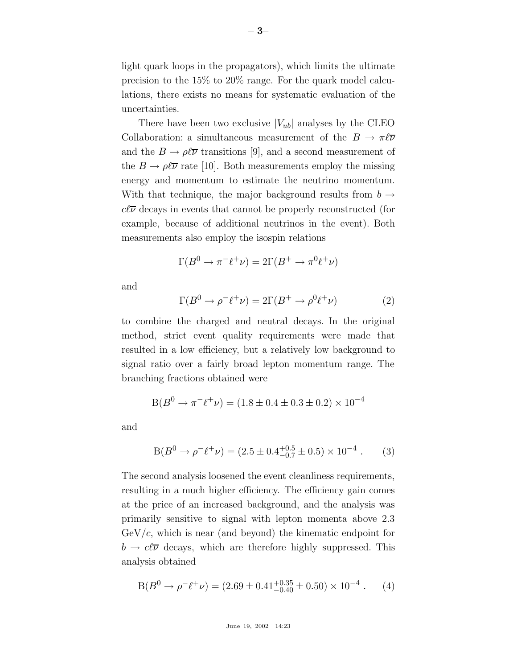light quark loops in the propagators), which limits the ultimate precision to the 15% to 20% range. For the quark model calculations, there exists no means for systematic evaluation of the uncertainties.

There have been two exclusive  $|V_{ub}|$  analyses by the CLEO Collaboration: a simultaneous measurement of the  $B \to \pi \ell \overline{\nu}$ and the  $B \to \rho \ell \overline{\nu}$  transitions [9], and a second measurement of the  $B \to \rho \ell \overline{\nu}$  rate [10]. Both measurements employ the missing energy and momentum to estimate the neutrino momentum. With that technique, the major background results from  $b \rightarrow$  $c\ell\overline{\nu}$  decays in events that cannot be properly reconstructed (for example, because of additional neutrinos in the event). Both measurements also employ the isospin relations

$$
\Gamma(B^0 \to \pi^- \ell^+ \nu) = 2\Gamma(B^+ \to \pi^0 \ell^+ \nu)
$$

and

$$
\Gamma(B^0 \to \rho^- \ell^+ \nu) = 2\Gamma(B^+ \to \rho^0 \ell^+ \nu) \tag{2}
$$

to combine the charged and neutral decays. In the original method, strict event quality requirements were made that resulted in a low efficiency, but a relatively low background to signal ratio over a fairly broad lepton momentum range. The branching fractions obtained were

$$
B(B^0 \to \pi^- \ell^+ \nu) = (1.8 \pm 0.4 \pm 0.3 \pm 0.2) \times 10^{-4}
$$

and

$$
B(B^0 \to \rho^- \ell^+ \nu) = (2.5 \pm 0.4^{+0.5}_{-0.7} \pm 0.5) \times 10^{-4} . \tag{3}
$$

The second analysis loosened the event cleanliness requirements, resulting in a much higher efficiency. The efficiency gain comes at the price of an increased background, and the analysis was primarily sensitive to signal with lepton momenta above 2.3  $GeV/c$ , which is near (and beyond) the kinematic endpoint for  $b \to c\ell\overline{\nu}$  decays, which are therefore highly suppressed. This analysis obtained

$$
B(B^0 \to \rho^- \ell^+ \nu) = (2.69 \pm 0.41^{+0.35}_{-0.40} \pm 0.50) \times 10^{-4} . \tag{4}
$$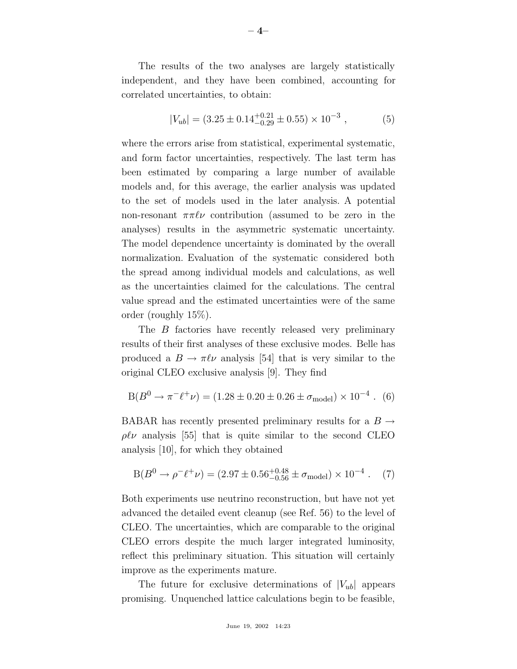The results of the two analyses are largely statistically independent, and they have been combined, accounting for correlated uncertainties, to obtain:

$$
|V_{ub}| = (3.25 \pm 0.14^{+0.21}_{-0.29} \pm 0.55) \times 10^{-3}, \tag{5}
$$

where the errors arise from statistical, experimental systematic, and form factor uncertainties, respectively. The last term has been estimated by comparing a large number of available models and, for this average, the earlier analysis was updated to the set of models used in the later analysis. A potential non-resonant  $\pi \pi \ell \nu$  contribution (assumed to be zero in the analyses) results in the asymmetric systematic uncertainty. The model dependence uncertainty is dominated by the overall normalization. Evaluation of the systematic considered both the spread among individual models and calculations, as well as the uncertainties claimed for the calculations. The central value spread and the estimated uncertainties were of the same order (roughly 15%).

The B factories have recently released very preliminary results of their first analyses of these exclusive modes. Belle has produced a  $B \to \pi \ell \nu$  analysis [54] that is very similar to the original CLEO exclusive analysis [9]. They find

$$
B(B^0 \to \pi^- \ell^+ \nu) = (1.28 \pm 0.20 \pm 0.26 \pm \sigma_{\text{model}}) \times 10^{-4} . (6)
$$

BABAR has recently presented preliminary results for a  $B \rightarrow$  $\rho\ell\nu$  analysis [55] that is quite similar to the second CLEO analysis [10], for which they obtained

$$
B(B^0 \to \rho^- \ell^+ \nu) = (2.97 \pm 0.56^{+0.48}_{-0.56} \pm \sigma_{\text{model}}) \times 10^{-4} . \quad (7)
$$

Both experiments use neutrino reconstruction, but have not yet advanced the detailed event cleanup (see Ref. 56) to the level of CLEO. The uncertainties, which are comparable to the original CLEO errors despite the much larger integrated luminosity, reflect this preliminary situation. This situation will certainly improve as the experiments mature.

The future for exclusive determinations of  $|V_{ub}|$  appears promising. Unquenched lattice calculations begin to be feasible,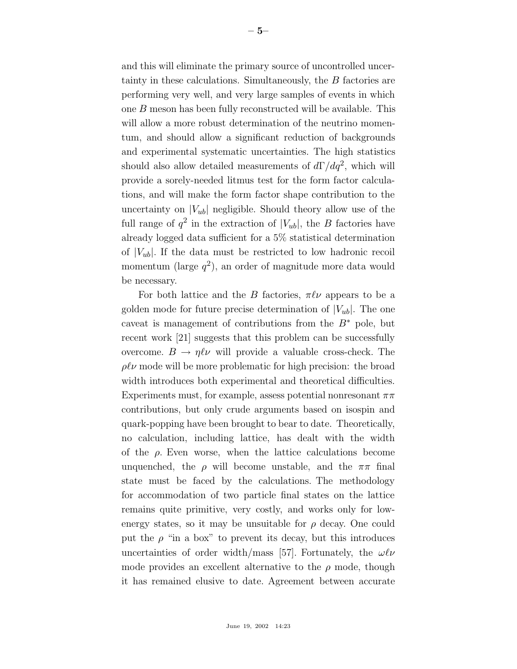and this will eliminate the primary source of uncontrolled uncertainty in these calculations. Simultaneously, the B factories are performing very well, and very large samples of events in which one B meson has been fully reconstructed will be available. This will allow a more robust determination of the neutrino momentum, and should allow a significant reduction of backgrounds and experimental systematic uncertainties. The high statistics should also allow detailed measurements of  $d\Gamma/dq^2$ , which will provide a sorely-needed litmus test for the form factor calculations, and will make the form factor shape contribution to the uncertainty on  $|V_{ub}|$  negligible. Should theory allow use of the full range of  $q^2$  in the extraction of  $|V_{ub}|$ , the B factories have already logged data sufficient for a 5% statistical determination of  $|V_{ub}|$ . If the data must be restricted to low hadronic recoil momentum (large  $q^2$ ), an order of magnitude more data would be necessary.

For both lattice and the B factories,  $\pi \ell \nu$  appears to be a golden mode for future precise determination of  $|V_{ub}|$ . The one caveat is management of contributions from the  $B^*$  pole, but recent work [21] suggests that this problem can be successfully overcome.  $B \to \eta \ell \nu$  will provide a valuable cross-check. The  $\rho\ell\nu$  mode will be more problematic for high precision: the broad width introduces both experimental and theoretical difficulties. Experiments must, for example, assess potential nonresonant  $\pi\pi$ contributions, but only crude arguments based on isospin and quark-popping have been brought to bear to date. Theoretically, no calculation, including lattice, has dealt with the width of the  $\rho$ . Even worse, when the lattice calculations become unquenched, the  $\rho$  will become unstable, and the  $\pi\pi$  final state must be faced by the calculations. The methodology for accommodation of two particle final states on the lattice remains quite primitive, very costly, and works only for lowenergy states, so it may be unsuitable for  $\rho$  decay. One could put the  $\rho$  "in a box" to prevent its decay, but this introduces uncertainties of order width/mass [57]. Fortunately, the  $\omega\ell\nu$ mode provides an excellent alternative to the  $\rho$  mode, though it has remained elusive to date. Agreement between accurate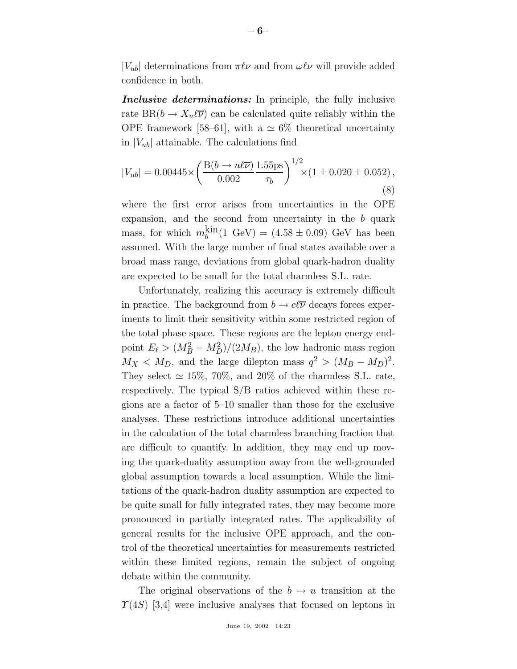$|V_{ub}|$  determinations from  $\pi \ell \nu$  and from  $\omega \ell \nu$  will provide added confidence in both.

*Inclusive determinations:* In principle, the fully inclusive rate  $BR(b \to X_u \ell \overline{\nu})$  can be calculated quite reliably within the OPE framework [58–61], with a  $\simeq 6\%$  theoretical uncertainty in  $|V_{ub}|$  attainable. The calculations find

$$
|V_{ub}| = 0.00445 \times \left(\frac{\text{B}(b \to u\ell\overline{\nu})}{0.002} \frac{1.55 \text{ps}}{\tau_b}\right)^{1/2} \times (1 \pm 0.020 \pm 0.052),\tag{8}
$$

where the first error arises from uncertainties in the OPE expansion, and the second from uncertainty in the b quark mass, for which  $m_b^{\text{kin}}(1 \text{ GeV}) = (4.58 \pm 0.09) \text{ GeV}$  has been assumed. With the large number of final states available over a broad mass range, deviations from global quark-hadron duality are expected to be small for the total charmless S.L. rate.

Unfortunately, realizing this accuracy is extremely difficult in practice. The background from  $b \to c\ell\overline{\nu}$  decays forces experiments to limit their sensitivity within some restricted region of the total phase space. These regions are the lepton energy endpoint  $E_{\ell} > (M_B^2 - M_D^2)/(2M_B)$ , the low hadronic mass region  $M_X < M_D$ , and the large dilepton mass  $q^2 > (M_B - M_D)^2$ . They select  $\simeq 15\%, 70\%, \text{ and } 20\%$  of the charmless S.L. rate, respectively. The typical S/B ratios achieved within these regions are a factor of 5–10 smaller than those for the exclusive analyses. These restrictions introduce additional uncertainties in the calculation of the total charmless branching fraction that are difficult to quantify. In addition, they may end up moving the quark-duality assumption away from the well-grounded global assumption towards a local assumption. While the limitations of the quark-hadron duality assumption are expected to be quite small for fully integrated rates, they may become more pronounced in partially integrated rates. The applicability of general results for the inclusive OPE approach, and the control of the theoretical uncertainties for measurements restricted within these limited regions, remain the subject of ongoing debate within the community.

The original observations of the  $b \to u$  transition at the  $\Upsilon(4S)$  [3,4] were inclusive analyses that focused on leptons in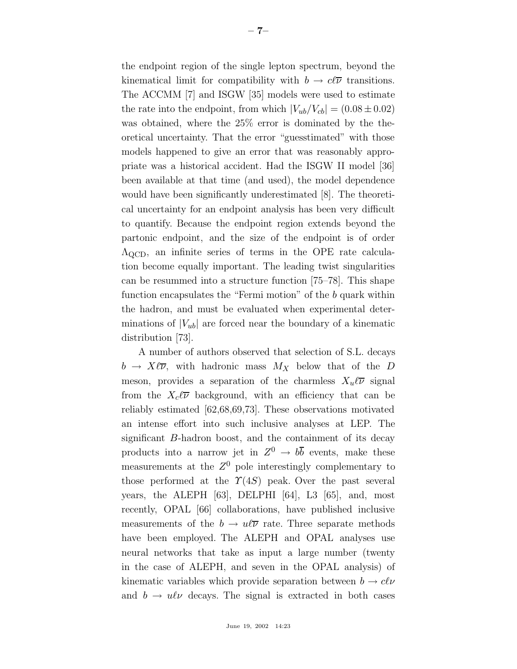the endpoint region of the single lepton spectrum, beyond the kinematical limit for compatibility with  $b \to c\ell\overline{\nu}$  transitions. The ACCMM [7] and ISGW [35] models were used to estimate the rate into the endpoint, from which  $|V_{ub}/V_{cb}| = (0.08 \pm 0.02)$ was obtained, where the 25% error is dominated by the theoretical uncertainty. That the error "guesstimated" with those models happened to give an error that was reasonably appropriate was a historical accident. Had the ISGW II model [36] been available at that time (and used), the model dependence would have been significantly underestimated [8]. The theoretical uncertainty for an endpoint analysis has been very difficult to quantify. Because the endpoint region extends beyond the partonic endpoint, and the size of the endpoint is of order  $\Lambda_{\rm QCD}$ , an infinite series of terms in the OPE rate calculation become equally important. The leading twist singularities can be resummed into a structure function [75–78]. This shape function encapsulates the "Fermi motion" of the b quark within the hadron, and must be evaluated when experimental determinations of  $|V_{ub}|$  are forced near the boundary of a kinematic distribution [73].

A number of authors observed that selection of S.L. decays  $b \to X\ell\overline{\nu}$ , with hadronic mass  $M_X$  below that of the D meson, provides a separation of the charmless  $X_u\ell\overline{\nu}$  signal from the  $X_c\ell\overline{\nu}$  background, with an efficiency that can be reliably estimated [62,68,69,73]. These observations motivated an intense effort into such inclusive analyses at LEP. The significant B-hadron boost, and the containment of its decay products into a narrow jet in  $Z^0 \to b\overline{b}$  events, make these measurements at the  $Z^0$  pole interestingly complementary to those performed at the  $\Upsilon(4S)$  peak. Over the past several years, the ALEPH [63], DELPHI [64], L3 [65], and, most recently, OPAL [66] collaborations, have published inclusive measurements of the  $b \to u\ell\overline{\nu}$  rate. Three separate methods have been employed. The ALEPH and OPAL analyses use neural networks that take as input a large number (twenty in the case of ALEPH, and seven in the OPAL analysis) of kinematic variables which provide separation between  $b \to c\ell\nu$ and  $b \to u \ell \nu$  decays. The signal is extracted in both cases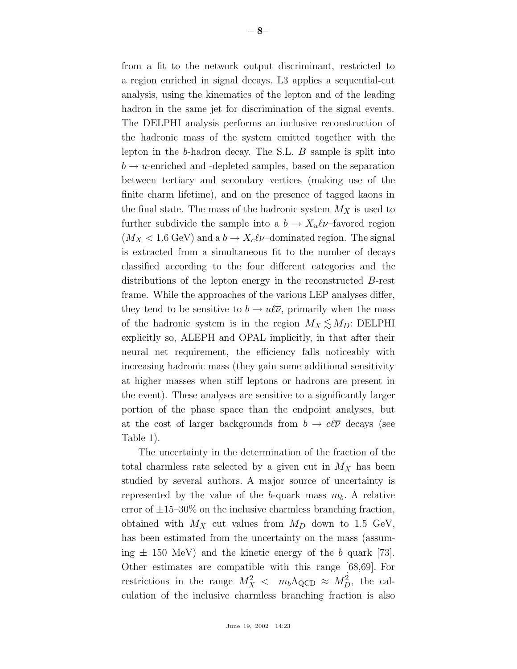**– 8–**

a region enriched in signal decays. L3 applies a sequential-cut analysis, using the kinematics of the lepton and of the leading hadron in the same jet for discrimination of the signal events. The DELPHI analysis performs an inclusive reconstruction of the hadronic mass of the system emitted together with the lepton in the b-hadron decay. The S.L. B sample is split into  $b \rightarrow u$ -enriched and -depleted samples, based on the separation between tertiary and secondary vertices (making use of the finite charm lifetime), and on the presence of tagged kaons in the final state. The mass of the hadronic system  $M_X$  is used to further subdivide the sample into a  $b \to X_u \ell \nu$ –favored region  $(M_X < 1.6 \text{ GeV})$  and a  $b \to X_c \ell \nu$ –dominated region. The signal is extracted from a simultaneous fit to the number of decays classified according to the four different categories and the distributions of the lepton energy in the reconstructed B-rest frame. While the approaches of the various LEP analyses differ, they tend to be sensitive to  $b \to u\ell\overline{\nu}$ , primarily when the mass of the hadronic system is in the region  $M_X \leq M_D$ : DELPHI explicitly so, ALEPH and OPAL implicitly, in that after their neural net requirement, the efficiency falls noticeably with increasing hadronic mass (they gain some additional sensitivity at higher masses when stiff leptons or hadrons are present in the event). These analyses are sensitive to a significantly larger portion of the phase space than the endpoint analyses, but at the cost of larger backgrounds from  $b \to c\ell\overline{\nu}$  decays (see Table 1).

The uncertainty in the determination of the fraction of the total charmless rate selected by a given cut in  $M_X$  has been studied by several authors. A major source of uncertainty is represented by the value of the b-quark mass  $m_b$ . A relative error of  $\pm 15$ –30% on the inclusive charmless branching fraction, obtained with  $M_X$  cut values from  $M_D$  down to 1.5 GeV, has been estimated from the uncertainty on the mass (assuming  $\pm$  150 MeV) and the kinetic energy of the b quark [73]. Other estimates are compatible with this range [68,69]. For restrictions in the range  $M_X^2 < m_b \Lambda_{\rm QCD} \approx M_D^2$ , the calculation of the inclusive charmless branching fraction is also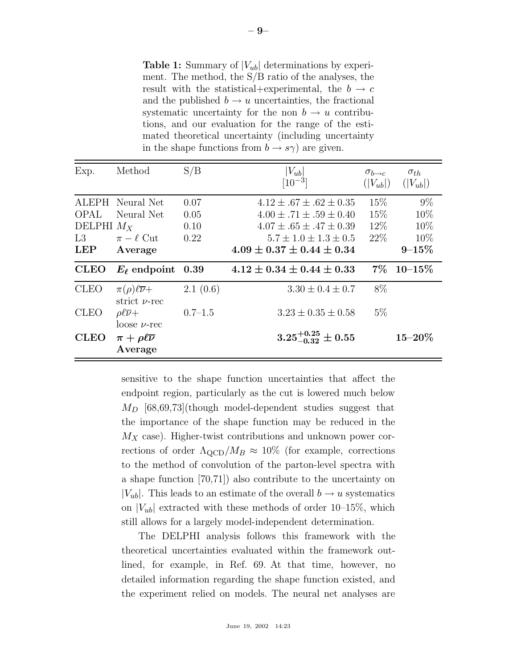**Table 1:** Summary of  $|V_{ub}|$  determinations by experiment. The method, the S/B ratio of the analyses, the result with the statistical+experimental, the  $b \rightarrow c$ and the published  $b \to u$  uncertainties, the fractional systematic uncertainty for the non  $b \to u$  contributions, and our evaluation for the range of the estimated theoretical uncertainty (including uncertainty in the shape functions from  $b \to s\gamma$ ) are given.

| Exp.         | Method                                              | S/B         | $ V_{ub} $<br>$[10^{-3}]$         | $\sigma_{b\rightarrow c}$<br>$( V_{ub} )$ | $\sigma_{th}$<br>$( V_{ub} )$ |
|--------------|-----------------------------------------------------|-------------|-----------------------------------|-------------------------------------------|-------------------------------|
|              | ALEPH Neural Net                                    | 0.07        | $4.12 \pm .67 \pm .62 \pm 0.35$   | 15\%                                      | $9\%$                         |
| OPAL         | Neural Net                                          | 0.05        | $4.00 \pm .71 \pm .59 \pm 0.40$   | 15%                                       | 10\%                          |
| DELPHI $M_X$ |                                                     | 0.10        | $4.07 \pm .65 \pm .47 \pm 0.39$   | $12\%$                                    | 10%                           |
| L3           | $\pi - \ell$ Cut                                    | 0.22        | $5.7 \pm 1.0 \pm 1.3 \pm 0.5$     | 22\%                                      | 10\%                          |
| <b>LEP</b>   | Average                                             |             | $4.09 \pm 0.37 \pm 0.44 \pm 0.34$ |                                           | $9 - 15\%$                    |
| <b>CLEO</b>  | $E_{\ell}$ endpoint                                 | 0.39        | $4.12 \pm 0.34 \pm 0.44 \pm 0.33$ | $7\%$                                     | $10\hbox{--}15\%$             |
| <b>CLEO</b>  | $\pi(\rho)\ell\overline{\nu}+$<br>strict $\nu$ -rec | 2.1(0.6)    | $3.30 \pm 0.4 \pm 0.7$            | 8\%                                       |                               |
| <b>CLEO</b>  | $\rho \ell \overline{\nu} +$<br>$\log e \nu$ -rec   | $0.7 - 1.5$ | $3.23 \pm 0.35 \pm 0.58$          | $5\%$                                     |                               |
| <b>CLEO</b>  | $\pi + \rho \ell \overline{\nu}$<br>Average         |             | $3.25^{+0.25}_{-0.32}\pm 0.55$    |                                           | $15 - 20\%$                   |

sensitive to the shape function uncertainties that affect the endpoint region, particularly as the cut is lowered much below  $M_D$  [68,69,73](though model-dependent studies suggest that the importance of the shape function may be reduced in the  $M_X$  case). Higher-twist contributions and unknown power corrections of order  $\Lambda_{\text{QCD}}/M_B \approx 10\%$  (for example, corrections to the method of convolution of the parton-level spectra with a shape function [70,71]) also contribute to the uncertainty on  $|V_{ub}|$ . This leads to an estimate of the overall  $b \rightarrow u$  systematics on  $|V_{ub}|$  extracted with these methods of order 10–15%, which still allows for a largely model-independent determination.

The DELPHI analysis follows this framework with the theoretical uncertainties evaluated within the framework outlined, for example, in Ref. 69. At that time, however, no detailed information regarding the shape function existed, and the experiment relied on models. The neural net analyses are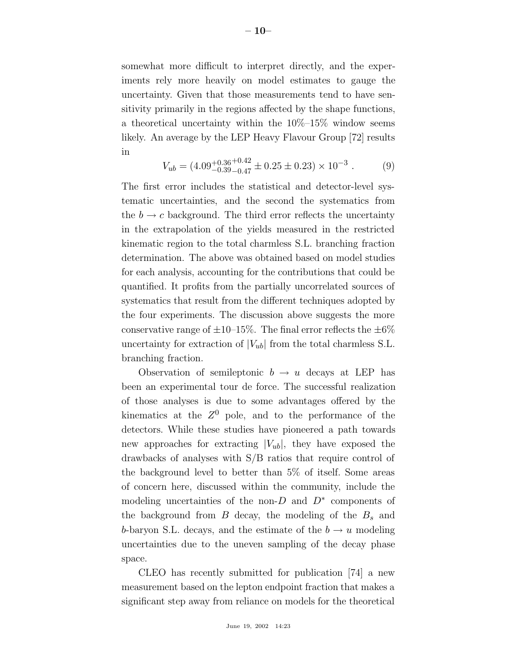somewhat more difficult to interpret directly, and the experiments rely more heavily on model estimates to gauge the uncertainty. Given that those measurements tend to have sensitivity primarily in the regions affected by the shape functions, a theoretical uncertainty within the  $10\%$ -15% window seems likely. An average by the LEP Heavy Flavour Group [72] results in

$$
V_{ub} = (4.09^{+0.36}_{-0.39}{}^{+0.42}_{-0.47} \pm 0.25 \pm 0.23) \times 10^{-3} . \tag{9}
$$

The first error includes the statistical and detector-level systematic uncertainties, and the second the systematics from the  $b \rightarrow c$  background. The third error reflects the uncertainty in the extrapolation of the yields measured in the restricted kinematic region to the total charmless S.L. branching fraction determination. The above was obtained based on model studies for each analysis, accounting for the contributions that could be quantified. It profits from the partially uncorrelated sources of systematics that result from the different techniques adopted by the four experiments. The discussion above suggests the more conservative range of  $\pm 10$ –15%. The final error reflects the  $\pm 6\%$ uncertainty for extraction of  $|V_{ub}|$  from the total charmless S.L. branching fraction.

Observation of semileptonic  $b \to u$  decays at LEP has been an experimental tour de force. The successful realization of those analyses is due to some advantages offered by the kinematics at the  $Z^0$  pole, and to the performance of the detectors. While these studies have pioneered a path towards new approaches for extracting  $|V_{ub}|$ , they have exposed the drawbacks of analyses with S/B ratios that require control of the background level to better than 5% of itself. Some areas of concern here, discussed within the community, include the modeling uncertainties of the non-D and  $D^*$  components of the background from  $B$  decay, the modeling of the  $B_s$  and b-baryon S.L. decays, and the estimate of the  $b \to u$  modeling uncertainties due to the uneven sampling of the decay phase space.

CLEO has recently submitted for publication [74] a new measurement based on the lepton endpoint fraction that makes a significant step away from reliance on models for the theoretical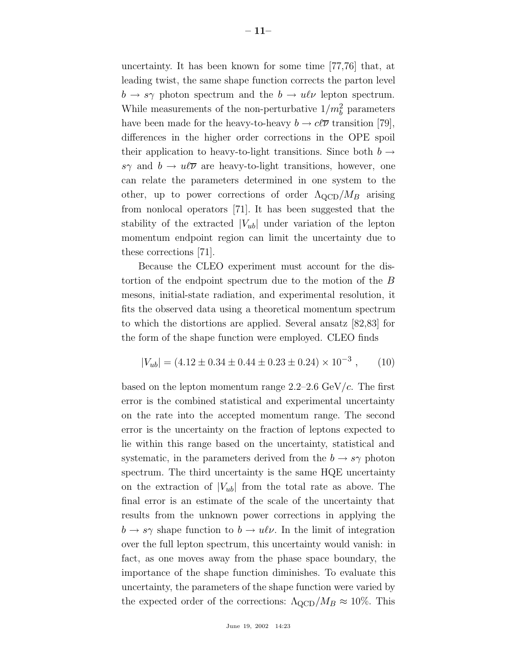uncertainty. It has been known for some time [77,76] that, at leading twist, the same shape function corrects the parton level  $b \rightarrow s\gamma$  photon spectrum and the  $b \rightarrow u\ell\nu$  lepton spectrum. While measurements of the non-perturbative  $1/m_b^2$  parameters have been made for the heavy-to-heavy  $b \to c\ell\overline{\nu}$  transition [79], differences in the higher order corrections in the OPE spoil their application to heavy-to-light transitions. Since both  $b \rightarrow$ sγ and  $b \to u\ell\overline{\nu}$  are heavy-to-light transitions, however, one can relate the parameters determined in one system to the other, up to power corrections of order  $\Lambda_{\text{QCD}}/M_B$  arising from nonlocal operators [71]. It has been suggested that the stability of the extracted  $|V_{ub}|$  under variation of the lepton momentum endpoint region can limit the uncertainty due to these corrections [71].

Because the CLEO experiment must account for the distortion of the endpoint spectrum due to the motion of the B mesons, initial-state radiation, and experimental resolution, it fits the observed data using a theoretical momentum spectrum to which the distortions are applied. Several ansatz [82,83] for the form of the shape function were employed. CLEO finds

$$
|V_{ub}| = (4.12 \pm 0.34 \pm 0.44 \pm 0.23 \pm 0.24) \times 10^{-3}, \qquad (10)
$$

based on the lepton momentum range  $2.2-2.6 \text{ GeV}/c$ . The first error is the combined statistical and experimental uncertainty on the rate into the accepted momentum range. The second error is the uncertainty on the fraction of leptons expected to lie within this range based on the uncertainty, statistical and systematic, in the parameters derived from the  $b \to s\gamma$  photon spectrum. The third uncertainty is the same HQE uncertainty on the extraction of  $|V_{ub}|$  from the total rate as above. The final error is an estimate of the scale of the uncertainty that results from the unknown power corrections in applying the  $b \to s\gamma$  shape function to  $b \to u\ell\nu$ . In the limit of integration over the full lepton spectrum, this uncertainty would vanish: in fact, as one moves away from the phase space boundary, the importance of the shape function diminishes. To evaluate this uncertainty, the parameters of the shape function were varied by the expected order of the corrections:  $\Lambda_{\rm QCD}/M_B \approx 10\%$ . This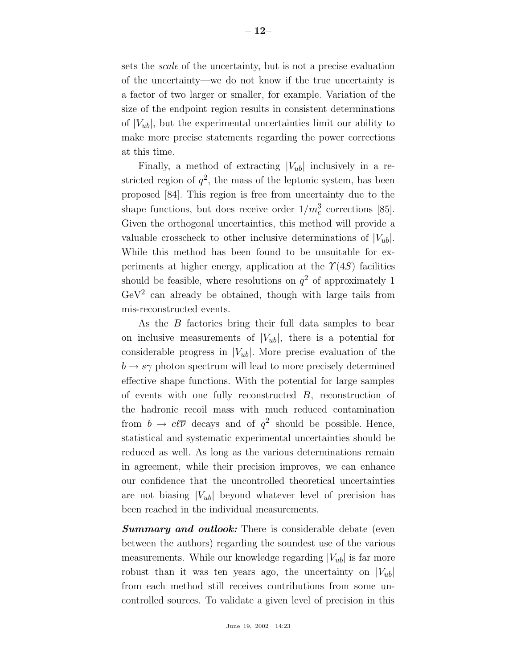sets the scale of the uncertainty, but is not a precise evaluation of the uncertainty—we do not know if the true uncertainty is a factor of two larger or smaller, for example. Variation of the size of the endpoint region results in consistent determinations of  $|V_{ub}|$ , but the experimental uncertainties limit our ability to make more precise statements regarding the power corrections at this time.

Finally, a method of extracting  $|V_{ub}|$  inclusively in a restricted region of  $q^2$ , the mass of the leptonic system, has been proposed [84]. This region is free from uncertainty due to the shape functions, but does receive order  $1/m_c^3$  corrections [85]. Given the orthogonal uncertainties, this method will provide a valuable crosscheck to other inclusive determinations of  $|V_{ub}|$ . While this method has been found to be unsuitable for experiments at higher energy, application at the  $\Upsilon(4S)$  facilities should be feasible, where resolutions on  $q^2$  of approximately 1  $GeV<sup>2</sup>$  can already be obtained, though with large tails from mis-reconstructed events.

As the B factories bring their full data samples to bear on inclusive measurements of  $|V_{ub}|$ , there is a potential for considerable progress in  $|V_{ub}|$ . More precise evaluation of the  $b \rightarrow s\gamma$  photon spectrum will lead to more precisely determined effective shape functions. With the potential for large samples of events with one fully reconstructed B, reconstruction of the hadronic recoil mass with much reduced contamination from  $b \to c\ell\overline{\nu}$  decays and of  $q^2$  should be possible. Hence, statistical and systematic experimental uncertainties should be reduced as well. As long as the various determinations remain in agreement, while their precision improves, we can enhance our confidence that the uncontrolled theoretical uncertainties are not biasing  $|V_{ub}|$  beyond whatever level of precision has been reached in the individual measurements.

**Summary and outlook:** There is considerable debate (even between the authors) regarding the soundest use of the various measurements. While our knowledge regarding  $|V_{ub}|$  is far more robust than it was ten years ago, the uncertainty on  $|V_{ub}|$ from each method still receives contributions from some uncontrolled sources. To validate a given level of precision in this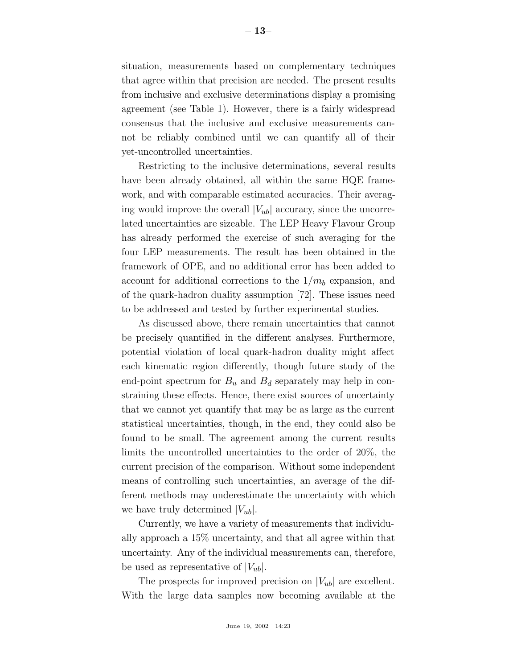situation, measurements based on complementary techniques that agree within that precision are needed. The present results from inclusive and exclusive determinations display a promising agreement (see Table 1). However, there is a fairly widespread consensus that the inclusive and exclusive measurements cannot be reliably combined until we can quantify all of their yet-uncontrolled uncertainties.

Restricting to the inclusive determinations, several results have been already obtained, all within the same HQE framework, and with comparable estimated accuracies. Their averaging would improve the overall  $|V_{ub}|$  accuracy, since the uncorrelated uncertainties are sizeable. The LEP Heavy Flavour Group has already performed the exercise of such averaging for the four LEP measurements. The result has been obtained in the framework of OPE, and no additional error has been added to account for additional corrections to the  $1/m_b$  expansion, and of the quark-hadron duality assumption [72]. These issues need to be addressed and tested by further experimental studies.

As discussed above, there remain uncertainties that cannot be precisely quantified in the different analyses. Furthermore, potential violation of local quark-hadron duality might affect each kinematic region differently, though future study of the end-point spectrum for  $B_u$  and  $B_d$  separately may help in constraining these effects. Hence, there exist sources of uncertainty that we cannot yet quantify that may be as large as the current statistical uncertainties, though, in the end, they could also be found to be small. The agreement among the current results limits the uncontrolled uncertainties to the order of 20%, the current precision of the comparison. Without some independent means of controlling such uncertainties, an average of the different methods may underestimate the uncertainty with which we have truly determined  $|V_{ub}|$ .

Currently, we have a variety of measurements that individually approach a 15% uncertainty, and that all agree within that uncertainty. Any of the individual measurements can, therefore, be used as representative of  $|V_{ub}|$ .

The prospects for improved precision on  $|V_{ub}|$  are excellent. With the large data samples now becoming available at the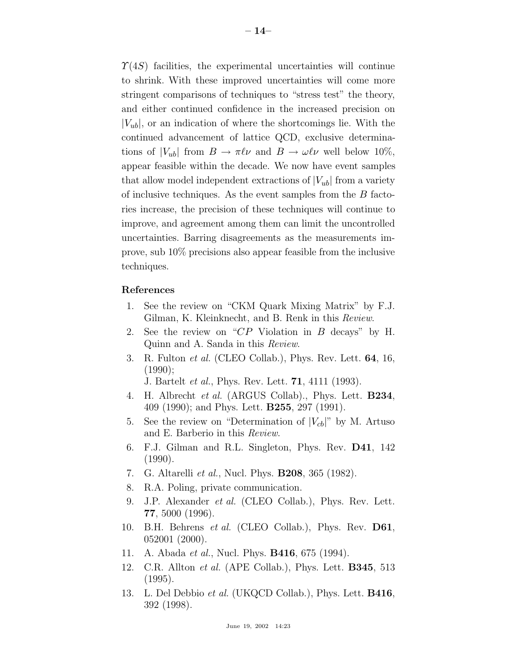$\Upsilon(4S)$  facilities, the experimental uncertainties will continue to shrink. With these improved uncertainties will come more stringent comparisons of techniques to "stress test" the theory, and either continued confidence in the increased precision on  $|V_{ub}|$ , or an indication of where the shortcomings lie. With the continued advancement of lattice QCD, exclusive determinations of  $|V_{ub}|$  from  $B \to \pi \ell \nu$  and  $B \to \omega \ell \nu$  well below 10%, appear feasible within the decade. We now have event samples that allow model independent extractions of  $|V_{ub}|$  from a variety of inclusive techniques. As the event samples from the  $B$  factories increase, the precision of these techniques will continue to improve, and agreement among them can limit the uncontrolled uncertainties. Barring disagreements as the measurements improve, sub 10% precisions also appear feasible from the inclusive techniques.

## **References**

- 1. See the review on "CKM Quark Mixing Matrix" by F.J. Gilman, K. Kleinknecht, and B. Renk in this Review.
- 2. See the review on "CP Violation in B decays" by H. Quinn and A. Sanda in this Review.
- 3. R. Fulton et al. (CLEO Collab.), Phys. Rev. Lett. **64**, 16, (1990);

J. Bartelt et al., Phys. Rev. Lett. **71**, 4111 (1993).

- 4. H. Albrecht et al. (ARGUS Collab)., Phys. Lett. **B234**, 409 (1990); and Phys. Lett. **B255**, 297 (1991).
- 5. See the review on "Determination of  $|V_{cb}|$ " by M. Artuso and E. Barberio in this Review.
- 6. F.J. Gilman and R.L. Singleton, Phys. Rev. **D41**, 142 (1990).
- 7. G. Altarelli et al., Nucl. Phys. **B208**, 365 (1982).
- 8. R.A. Poling, private communication.
- 9. J.P. Alexander et al. (CLEO Collab.), Phys. Rev. Lett. **77**, 5000 (1996).
- 10. B.H. Behrens et al. (CLEO Collab.), Phys. Rev. **D61**, 052001 (2000).
- 11. A. Abada et al., Nucl. Phys. **B416**, 675 (1994).
- 12. C.R. Allton et al. (APE Collab.), Phys. Lett. **B345**, 513 (1995).
- 13. L. Del Debbio et al. (UKQCD Collab.), Phys. Lett. **B416**, 392 (1998).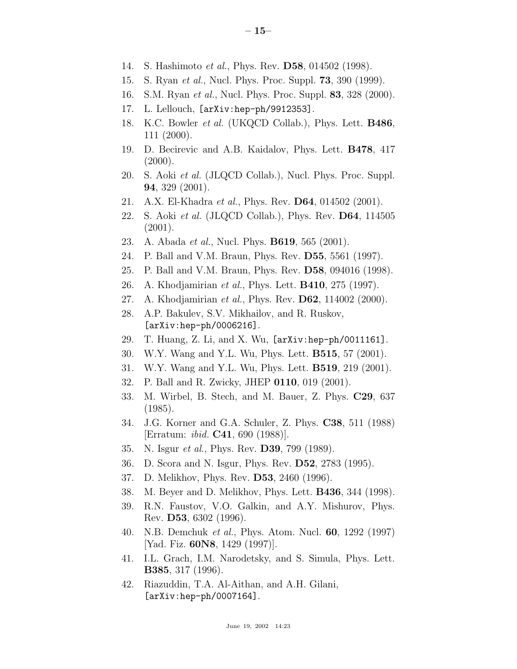- 14. S. Hashimoto et al., Phys. Rev. **D58**, 014502 (1998).
- 15. S. Ryan et al., Nucl. Phys. Proc. Suppl. **73**, 390 (1999).
- 16. S.M. Ryan et al., Nucl. Phys. Proc. Suppl. **83**, 328 (2000).
- 17. L. Lellouch, [arXiv:hep-ph/9912353].
- 18. K.C. Bowler et al. (UKQCD Collab.), Phys. Lett. **B486**, 111 (2000).
- 19. D. Becirevic and A.B. Kaidalov, Phys. Lett. **B478**, 417  $(2000).$
- 20. S. Aoki et al. (JLQCD Collab.), Nucl. Phys. Proc. Suppl. **94**, 329 (2001).
- 21. A.X. El-Khadra et al., Phys. Rev. **D64**, 014502 (2001).
- 22. S. Aoki et al. (JLQCD Collab.), Phys. Rev. **D64**, 114505 (2001).
- 23. A. Abada et al., Nucl. Phys. **B619**, 565 (2001).
- 24. P. Ball and V.M. Braun, Phys. Rev. **D55**, 5561 (1997).
- 25. P. Ball and V.M. Braun, Phys. Rev. **D58**, 094016 (1998).
- 26. A. Khodjamirian et al., Phys. Lett. **B410**, 275 (1997).
- 27. A. Khodjamirian et al., Phys. Rev. **D62**, 114002 (2000).
- 28. A.P. Bakulev, S.V. Mikhailov, and R. Ruskov, [arXiv:hep-ph/0006216].
- 29. T. Huang, Z. Li, and X. Wu, [arXiv:hep-ph/0011161].
- 30. W.Y. Wang and Y.L. Wu, Phys. Lett. **B515**, 57 (2001).
- 31. W.Y. Wang and Y.L. Wu, Phys. Lett. **B519**, 219 (2001).
- 32. P. Ball and R. Zwicky, JHEP **0110**, 019 (2001).
- 33. M. Wirbel, B. Stech, and M. Bauer, Z. Phys. **C29**, 637 (1985).
- 34. J.G. Korner and G.A. Schuler, Z. Phys. **C38**, 511 (1988) [Erratum: ibid. **C41**, 690 (1988)].
- 35. N. Isgur et al., Phys. Rev. **D39**, 799 (1989).
- 36. D. Scora and N. Isgur, Phys. Rev. **D52**, 2783 (1995).
- 37. D. Melikhov, Phys. Rev. **D53**, 2460 (1996).
- 38. M. Beyer and D. Melikhov, Phys. Lett. **B436**, 344 (1998).
- 39. R.N. Faustov, V.O. Galkin, and A.Y. Mishurov, Phys. Rev. **D53**, 6302 (1996).
- 40. N.B. Demchuk et al., Phys. Atom. Nucl. **60**, 1292 (1997) [Yad. Fiz. **60N8**, 1429 (1997)].
- 41. I.L. Grach, I.M. Narodetsky, and S. Simula, Phys. Lett. **B385**, 317 (1996).
- 42. Riazuddin, T.A. Al-Aithan, and A.H. Gilani, [arXiv:hep-ph/0007164].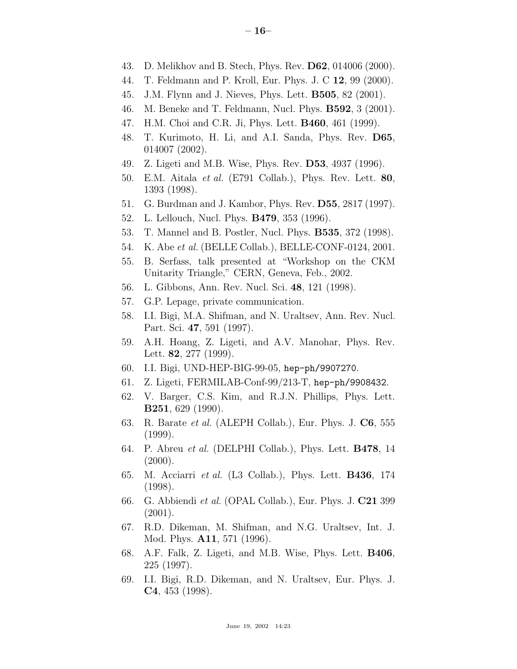- 44. T. Feldmann and P. Kroll, Eur. Phys. J. C **12**, 99 (2000).
- 45. J.M. Flynn and J. Nieves, Phys. Lett. **B505**, 82 (2001).
- 46. M. Beneke and T. Feldmann, Nucl. Phys. **B592**, 3 (2001).
- 47. H.M. Choi and C.R. Ji, Phys. Lett. **B460**, 461 (1999).
- 48. T. Kurimoto, H. Li, and A.I. Sanda, Phys. Rev. **D65**, 014007 (2002).
- 49. Z. Ligeti and M.B. Wise, Phys. Rev. **D53**, 4937 (1996).
- 50. E.M. Aitala et al. (E791 Collab.), Phys. Rev. Lett. **80**, 1393 (1998).
- 51. G. Burdman and J. Kambor, Phys. Rev. **D55**, 2817 (1997).
- 52. L. Lellouch, Nucl. Phys. **B479**, 353 (1996).
- 53. T. Mannel and B. Postler, Nucl. Phys. **B535**, 372 (1998).
- 54. K. Abe et al. (BELLE Collab.), BELLE-CONF-0124, 2001.
- 55. B. Serfass, talk presented at "Workshop on the CKM Unitarity Triangle," CERN, Geneva, Feb., 2002.
- 56. L. Gibbons, Ann. Rev. Nucl. Sci. **48**, 121 (1998).
- 57. G.P. Lepage, private communication.
- 58. I.I. Bigi, M.A. Shifman, and N. Uraltsev, Ann. Rev. Nucl. Part. Sci. **47**, 591 (1997).
- 59. A.H. Hoang, Z. Ligeti, and A.V. Manohar, Phys. Rev. Lett. **82**, 277 (1999).
- 60. I.I. Bigi, UND-HEP-BIG-99-05, hep-ph/9907270.
- 61. Z. Ligeti, FERMILAB-Conf-99/213-T, hep-ph/9908432.
- 62. V. Barger, C.S. Kim, and R.J.N. Phillips, Phys. Lett. **B251**, 629 (1990).
- 63. R. Barate et al. (ALEPH Collab.), Eur. Phys. J. **C6**, 555 (1999).
- 64. P. Abreu et al. (DELPHI Collab.), Phys. Lett. **B478**, 14  $(2000).$
- 65. M. Acciarri et al. (L3 Collab.), Phys. Lett. **B436**, 174 (1998).
- 66. G. Abbiendi et al. (OPAL Collab.), Eur. Phys. J. **C21** 399 (2001).
- 67. R.D. Dikeman, M. Shifman, and N.G. Uraltsev, Int. J. Mod. Phys. **A11**, 571 (1996).
- 68. A.F. Falk, Z. Ligeti, and M.B. Wise, Phys. Lett. **B406**, 225 (1997).
- 69. I.I. Bigi, R.D. Dikeman, and N. Uraltsev, Eur. Phys. J. **C4**, 453 (1998).